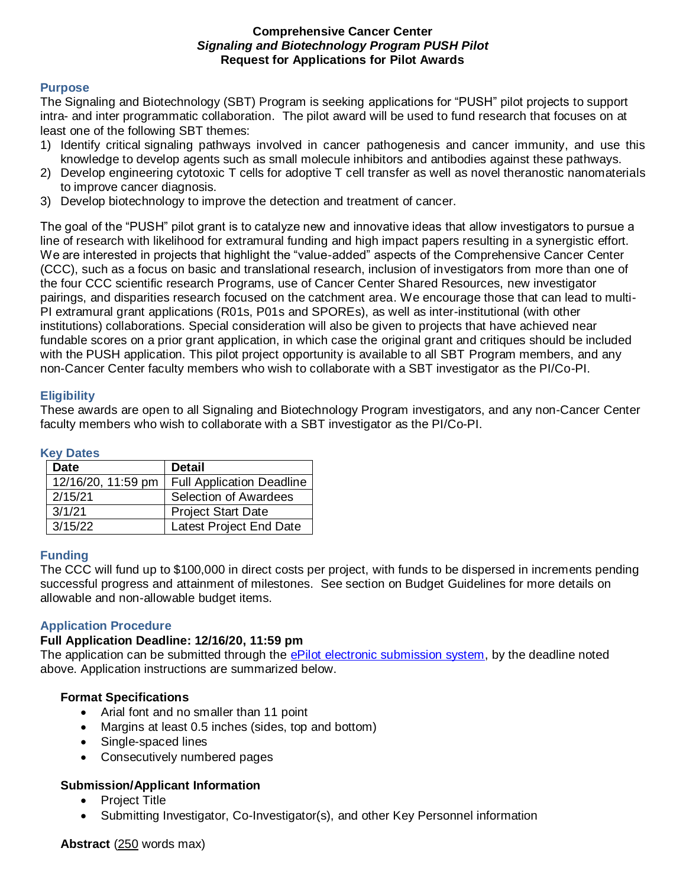# **Comprehensive Cancer Center**  *Signaling and Biotechnology Program PUSH Pilot*  **Request for Applications for Pilot Awards**

# **Purpose**

The Signaling and Biotechnology (SBT) Program is seeking applications for "PUSH" pilot projects to support intra- and inter programmatic collaboration. The pilot award will be used to fund research that focuses on at least one of the following SBT themes:

- 1) Identify critical signaling pathways involved in cancer pathogenesis and cancer immunity, and use this knowledge to develop agents such as small molecule inhibitors and antibodies against these pathways.
- 2) Develop engineering cytotoxic T cells for adoptive T cell transfer as well as novel theranostic nanomaterials to improve cancer diagnosis.
- 3) Develop biotechnology to improve the detection and treatment of cancer.

The goal of the "PUSH" pilot grant is to catalyze new and innovative ideas that allow investigators to pursue a line of research with likelihood for extramural funding and high impact papers resulting in a synergistic effort. We are interested in projects that highlight the "value-added" aspects of the Comprehensive Cancer Center (CCC), such as a focus on basic and translational research, inclusion of investigators from more than one of the four CCC scientific research Programs, use of Cancer Center Shared Resources, new investigator pairings, and disparities research focused on the catchment area. We encourage those that can lead to multi-PI extramural grant applications (R01s, P01s and SPOREs), as well as inter-institutional (with other institutions) collaborations. Special consideration will also be given to projects that have achieved near fundable scores on a prior grant application, in which case the original grant and critiques should be included with the PUSH application. This pilot project opportunity is available to all SBT Program members, and any non-Cancer Center faculty members who wish to collaborate with a SBT investigator as the PI/Co-PI.

# **Eligibility**

These awards are open to all Signaling and Biotechnology Program investigators, and any non-Cancer Center faculty members who wish to collaborate with a SBT investigator as the PI/Co-PI.

#### **Key Dates**

| <b>Date</b>        | <b>Detail</b>                    |
|--------------------|----------------------------------|
| 12/16/20, 11:59 pm | <b>Full Application Deadline</b> |
| 2/15/21            | Selection of Awardees            |
| 3/1/21             | <b>Project Start Date</b>        |
| 3/15/22            | Latest Project End Date          |

# **Funding**

The CCC will fund up to \$100,000 in direct costs per project, with funds to be dispersed in increments pending successful progress and attainment of milestones. See section on Budget Guidelines for more details on allowable and non-allowable budget items.

#### **Application Procedure**

#### **Full Application Deadline: 12/16/20, 11:59 pm**

The application can be submitted through the [ePilot electronic submission system,](https://redcap.wakehealth.edu/redcap/surveys/?s=3MLDN4DML4) by the deadline noted above. Application instructions are summarized below.

#### **Format Specifications**

- Arial font and no smaller than 11 point
- Margins at least 0.5 inches (sides, top and bottom)
- Single-spaced lines
- Consecutively numbered pages

# **Submission/Applicant Information**

- Project Title
- Submitting Investigator, Co-Investigator(s), and other Key Personnel information

**Abstract** (250 words max)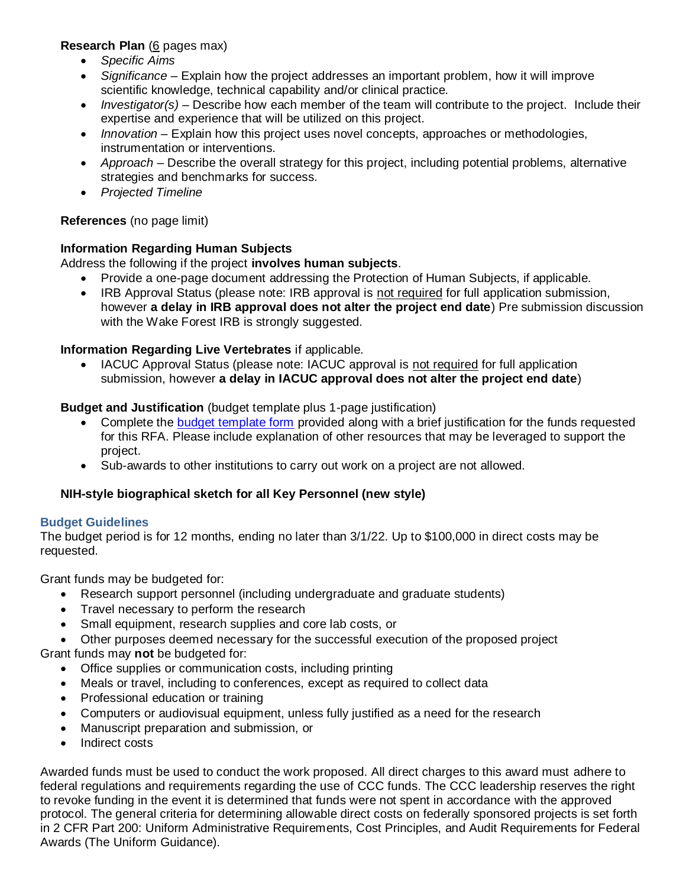# **Research Plan** (6 pages max)

- *Specific Aims*
- *Significance* Explain how the project addresses an important problem, how it will improve scientific knowledge, technical capability and/or clinical practice.
- *Investigator(s)* Describe how each member of the team will contribute to the project. Include their expertise and experience that will be utilized on this project.
- *Innovation* Explain how this project uses novel concepts, approaches or methodologies, instrumentation or interventions.
- *Approach* Describe the overall strategy for this project, including potential problems, alternative strategies and benchmarks for success.
- *Projected Timeline*

# **References** (no page limit)

# **Information Regarding Human Subjects**

Address the following if the project **involves human subjects**.

- Provide a one-page document addressing the Protection of Human Subjects, if applicable.
- IRB Approval Status (please note: IRB approval is not required for full application submission, however **a delay in IRB approval does not alter the project end date**) Pre submission discussion with the Wake Forest IRB is strongly suggested.

# **Information Regarding Live Vertebrates** if applicable.

 IACUC Approval Status (please note: IACUC approval is not required for full application submission, however **a delay in IACUC approval does not alter the project end date**)

# **Budget and Justification** (budget template plus 1-page justification)

- Complete the [budget template form](https://wakehealth.sharepoint.com/:x:/r/teams/CTSIWebCollection/Shared%20Documents/CSTI-Public/CTSI%20Pilot%20Budget%20Template.xlsx) provided along with a brief justification for the funds requested for this RFA. Please include explanation of other resources that may be leveraged to support the project.
- Sub-awards to other institutions to carry out work on a project are not allowed.

# **NIH-style biographical sketch for all Key Personnel (new style)**

# **Budget Guidelines**

The budget period is for 12 months, ending no later than 3/1/22. Up to \$100,000 in direct costs may be requested.

Grant funds may be budgeted for:

- Research support personnel (including undergraduate and graduate students)
- Travel necessary to perform the research
- Small equipment, research supplies and core lab costs, or
- Other purposes deemed necessary for the successful execution of the proposed project

Grant funds may **not** be budgeted for:

- Office supplies or communication costs, including printing
- Meals or travel, including to conferences, except as required to collect data
- Professional education or training
- Computers or audiovisual equipment, unless fully justified as a need for the research
- Manuscript preparation and submission, or
- Indirect costs

Awarded funds must be used to conduct the work proposed. All direct charges to this award must adhere to federal regulations and requirements regarding the use of CCC funds. The CCC leadership reserves the right to revoke funding in the event it is determined that funds were not spent in accordance with the approved protocol. The general criteria for determining allowable direct costs on federally sponsored projects is set forth in 2 CFR Part 200: Uniform Administrative Requirements, Cost Principles, and Audit Requirements for Federal Awards (The Uniform Guidance).